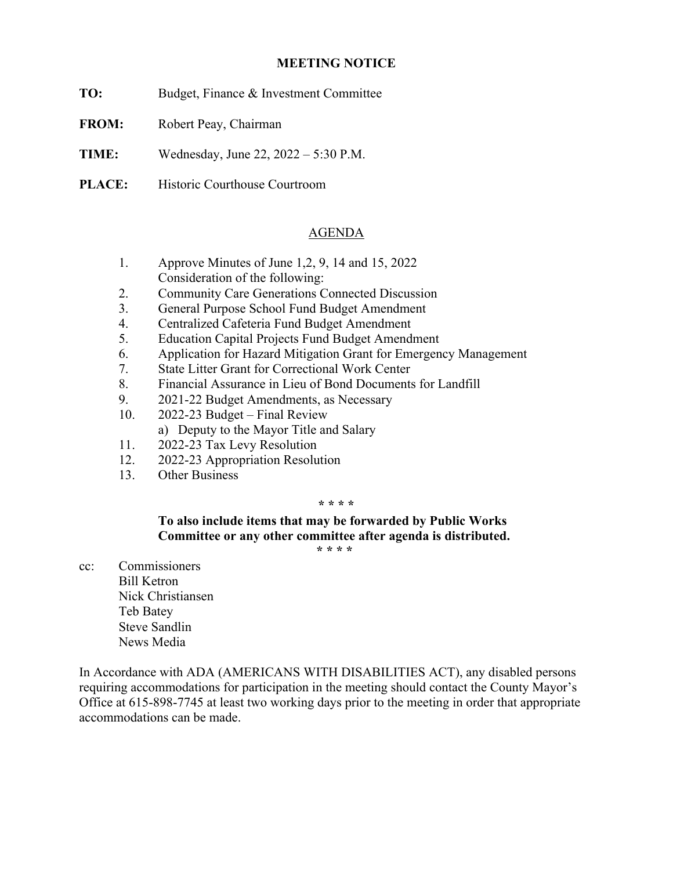## **MEETING NOTICE**

- **TO:** Budget, Finance & Investment Committee
- **FROM:** Robert Peay, Chairman
- **TIME:** Wednesday, June 22, 2022 5:30 P.M.
- **PLACE:** Historic Courthouse Courtroom

## AGENDA

- 1. Approve Minutes of June 1,2, 9, 14 and 15, 2022 Consideration of the following:
- 2. Community Care Generations Connected Discussion
- 3. General Purpose School Fund Budget Amendment
- 4. Centralized Cafeteria Fund Budget Amendment
- 5. Education Capital Projects Fund Budget Amendment
- 6. Application for Hazard Mitigation Grant for Emergency Management
- 7. State Litter Grant for Correctional Work Center
- 8. Financial Assurance in Lieu of Bond Documents for Landfill
- 9. 2021-22 Budget Amendments, as Necessary
- 10. 2022-23 Budget Final Review
	- a) Deputy to the Mayor Title and Salary
- 11. 2022-23 Tax Levy Resolution
- 12. 2022-23 Appropriation Resolution
- 13. Other Business

## **\* \* \* \***

**To also include items that may be forwarded by Public Works Committee or any other committee after agenda is distributed.** 

 **\* \* \* \*** 

cc: Commissioners Bill Ketron Nick Christiansen Teb Batey Steve Sandlin News Media

In Accordance with ADA (AMERICANS WITH DISABILITIES ACT), any disabled persons requiring accommodations for participation in the meeting should contact the County Mayor's Office at 615-898-7745 at least two working days prior to the meeting in order that appropriate accommodations can be made.